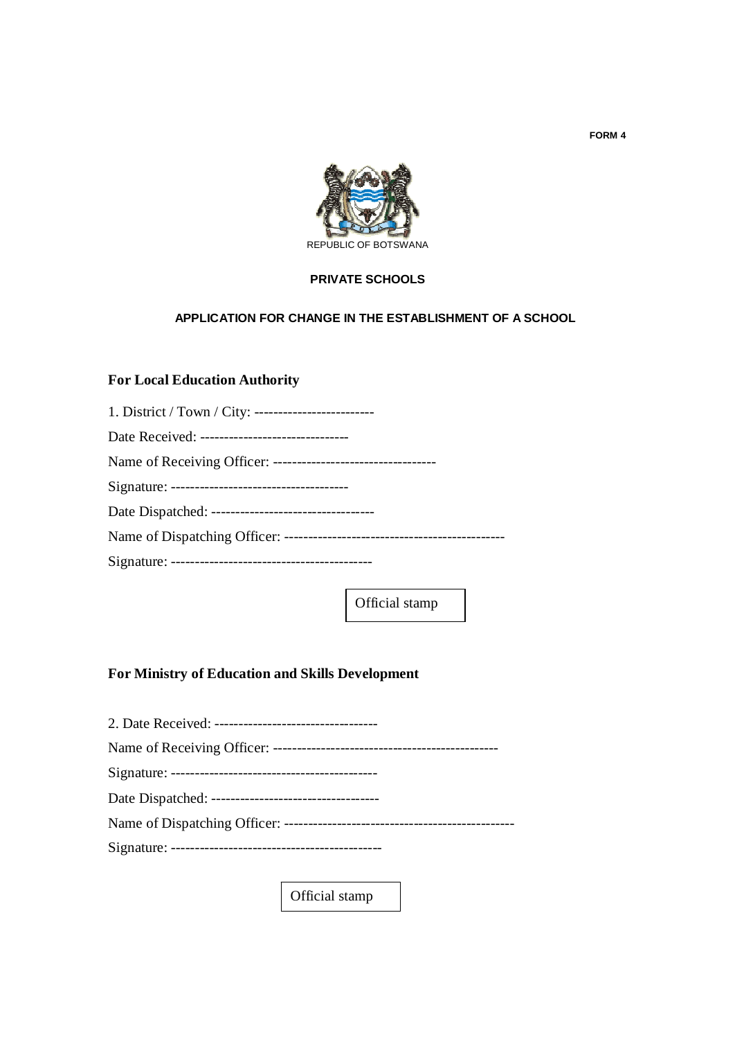

#### **PRIVATE SCHOOLS**

## **APPLICATION FOR CHANGE IN THE ESTABLISHMENT OF A SCHOOL**

## **For Local Education Authority**

| Date Received: ------------------------------- |
|------------------------------------------------|
|                                                |
|                                                |
|                                                |
|                                                |
|                                                |

Official stamp

# **For Ministry of Education and Skills Development**

| 2. Date Received: ----------------------------------- |
|-------------------------------------------------------|
|                                                       |
|                                                       |
|                                                       |
|                                                       |
|                                                       |
|                                                       |

Official stamp

**FORM 4**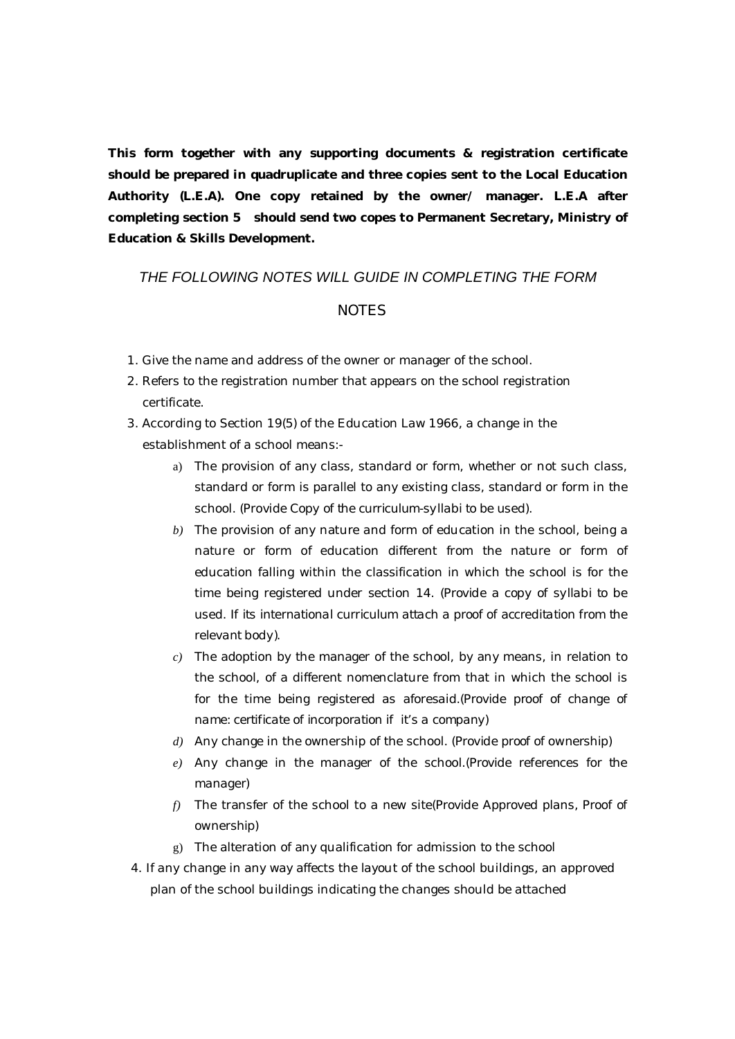**This form together with any supporting documents & registration certificate should be prepared in quadruplicate and three copies sent to the Local Education Authority (L.E.A). One copy retained by the owner/ manager. L.E.A after completing section 5 should send two copes to Permanent Secretary, Ministry of Education & Skills Development.**

# *THE FOLLOWING NOTES WILL GUIDE IN COMPLETING THE FORM*

#### *NOTES*

- 1. Give the name and address of the owner or manager of the school.
- 2. Refers to the registration number that appears on the school registration certificate.
- 3. According to Section 19(5) of the Education Law 1966, a change in the establishment of a school means:
	- a) The provision of any class, standard or form, whether or not such class, standard or form is parallel to any existing class, standard or form in the school. (Provide *Copy of the curriculum-syllabi to be used*).
	- *b)* The provision of any nature and form of education in the school, being a nature or form of education different from the nature or form of education falling within the classification in which the school is for the time being registered under section 14. (*Provide a copy of syllabi to be used. If its international curriculum attach a proof of accreditation from the relevant body).*
	- *c)* The adoption by the manager of the school, by any means, in relation to the school, of a different nomenclature from that in which the school is for the time being registered as aforesaid.(*Provide proof of change of name: certificate of incorporation if it's a company)*
	- *d)* Any change in the ownership of the school. (*Provide proof of ownership)*
	- *e)* Any change in the manager of the school.(*Provide references for the manager)*
	- *f)* The transfer of the school to a new site(*Provide Approved plans, Proof of ownership)*
	- g) The alteration of any qualification for admission to the school
- 4. If any change in any way affects the layout of the school buildings, an approved plan of the school buildings indicating the changes should be attached